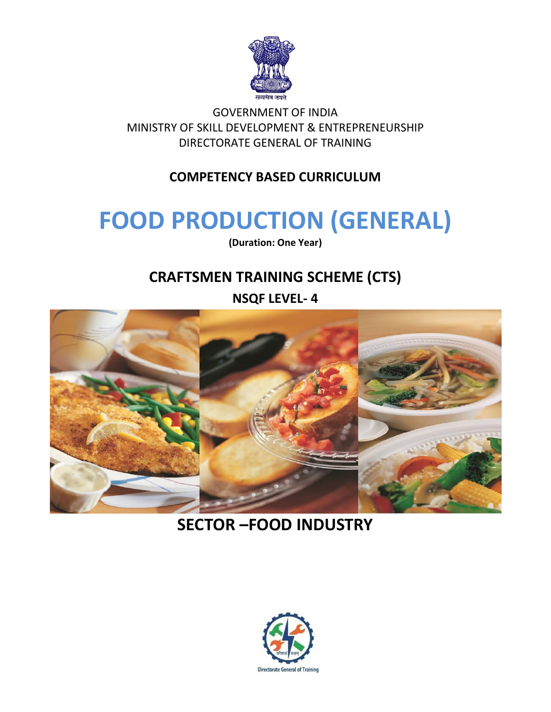

GOVERNMENT OF INDIA MINISTRY OF SKILL DEVELOPMENT & ENTREPRENEURSHIP DIRECTORATE GENERAL OF TRAINING

#### **COMPETENCY BASED CURRICULUM**

## **FOOD PRODUCTION (GENERAL)**

**(Duration: One Year)**

## **CRAFTSMEN TRAINING SCHEME (CTS)**

#### **NSQF LEVEL- 4**



## **SECTOR –FOOD INDUSTRY**

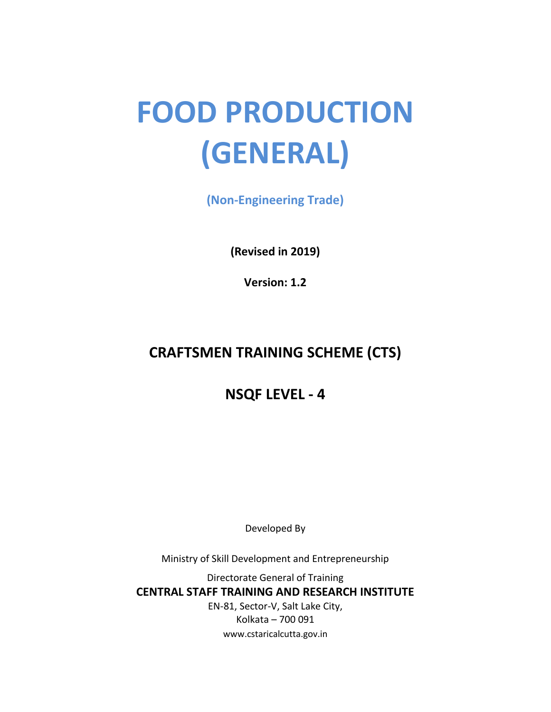# **FOOD PRODUCTION (GENERAL)**

**(Non-Engineering Trade)**

**(Revised in 2019)**

**Version: 1.2**

## **CRAFTSMEN TRAINING SCHEME (CTS)**

### **NSQF LEVEL - 4**

Developed By

Ministry of Skill Development and Entrepreneurship

Directorate General of Training **CENTRAL STAFF TRAINING AND RESEARCH INSTITUTE** EN-81, Sector-V, Salt Lake City, Kolkata – 700 091 www.cstaricalcutta.gov.in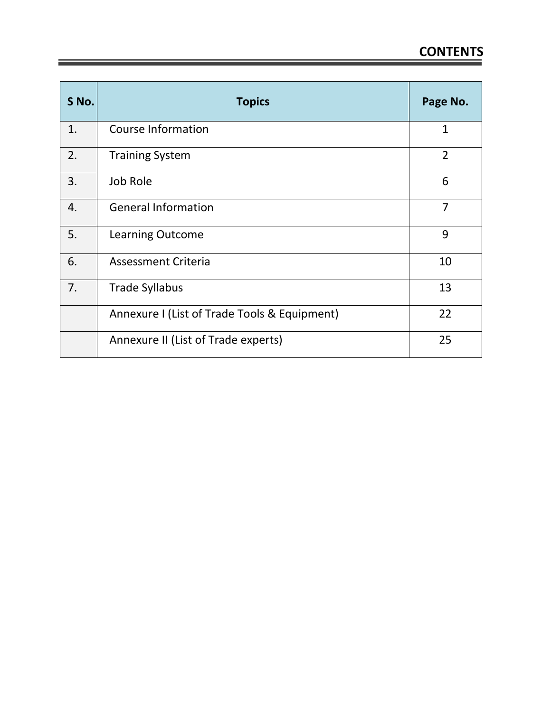| S No. | <b>Topics</b>                                | Page No.       |
|-------|----------------------------------------------|----------------|
| 1.    | Course Information                           | $\mathbf{1}$   |
| 2.    | <b>Training System</b>                       | $\overline{2}$ |
| 3.    | Job Role                                     | 6              |
| 4.    | <b>General Information</b>                   | 7              |
| 5.    | <b>Learning Outcome</b>                      | 9              |
| 6.    | <b>Assessment Criteria</b>                   | 10             |
| 7.    | <b>Trade Syllabus</b>                        | 13             |
|       | Annexure I (List of Trade Tools & Equipment) | 22             |
|       | Annexure II (List of Trade experts)          | 25             |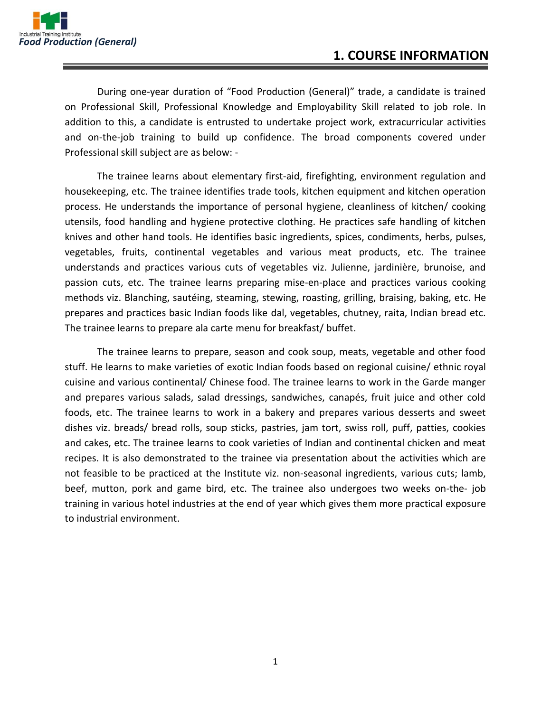

During one-year duration of "Food Production (General)" trade, a candidate is trained on Professional Skill, Professional Knowledge and Employability Skill related to job role. In addition to this, a candidate is entrusted to undertake project work, extracurricular activities and on-the-job training to build up confidence. The broad components covered under Professional skill subject are as below: -

The trainee learns about elementary first-aid, firefighting, environment regulation and housekeeping, etc. The trainee identifies trade tools, kitchen equipment and kitchen operation process. He understands the importance of personal hygiene, cleanliness of kitchen/ cooking utensils, food handling and hygiene protective clothing. He practices safe handling of kitchen knives and other hand tools. He identifies basic ingredients, spices, condiments, herbs, pulses, vegetables, fruits, continental vegetables and various meat products, etc. The trainee understands and practices various cuts of vegetables viz. Julienne, jardinière, brunoise, and passion cuts, etc. The trainee learns preparing mise-en-place and practices various cooking methods viz. Blanching, sautéing, steaming, stewing, roasting, grilling, braising, baking, etc. He prepares and practices basic Indian foods like dal, vegetables, chutney, raita, Indian bread etc. The trainee learns to prepare ala carte menu for breakfast/ buffet.

The trainee learns to prepare, season and cook soup, meats, vegetable and other food stuff. He learns to make varieties of exotic Indian foods based on regional cuisine/ ethnic royal cuisine and various continental/ Chinese food. The trainee learns to work in the Garde manger and prepares various salads, salad dressings, sandwiches, canapés, fruit juice and other cold foods, etc. The trainee learns to work in a bakery and prepares various desserts and sweet dishes viz. breads/ bread rolls, soup sticks, pastries, jam tort, swiss roll, puff, patties, cookies and cakes, etc. The trainee learns to cook varieties of Indian and continental chicken and meat recipes. It is also demonstrated to the trainee via presentation about the activities which are not feasible to be practiced at the Institute viz. non-seasonal ingredients, various cuts; lamb, beef, mutton, pork and game bird, etc. The trainee also undergoes two weeks on-the- job training in various hotel industries at the end of year which gives them more practical exposure to industrial environment.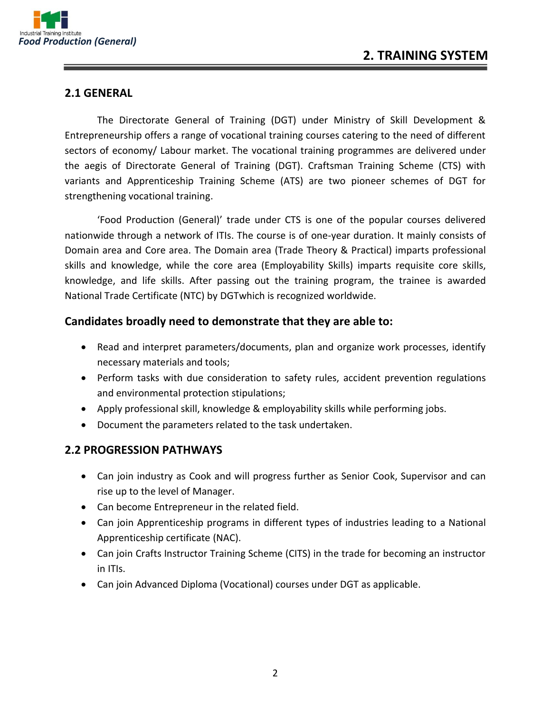

#### **2.1 GENERAL**

The Directorate General of Training (DGT) under Ministry of Skill Development & Entrepreneurship offers a range of vocational training courses catering to the need of different sectors of economy/ Labour market. The vocational training programmes are delivered under the aegis of Directorate General of Training (DGT). Craftsman Training Scheme (CTS) with variants and Apprenticeship Training Scheme (ATS) are two pioneer schemes of DGT for strengthening vocational training.

'Food Production (General)' trade under CTS is one of the popular courses delivered nationwide through a network of ITIs. The course is of one-year duration. It mainly consists of Domain area and Core area. The Domain area (Trade Theory & Practical) imparts professional skills and knowledge, while the core area (Employability Skills) imparts requisite core skills, knowledge, and life skills. After passing out the training program, the trainee is awarded National Trade Certificate (NTC) by DGTwhich is recognized worldwide.

#### **Candidates broadly need to demonstrate that they are able to:**

- Read and interpret parameters/documents, plan and organize work processes, identify necessary materials and tools;
- Perform tasks with due consideration to safety rules, accident prevention regulations and environmental protection stipulations;
- Apply professional skill, knowledge & employability skills while performing jobs.
- Document the parameters related to the task undertaken.

#### **2.2 PROGRESSION PATHWAYS**

- Can join industry as Cook and will progress further as Senior Cook, Supervisor and can rise up to the level of Manager.
- Can become Entrepreneur in the related field.
- Can join Apprenticeship programs in different types of industries leading to a National Apprenticeship certificate (NAC).
- Can join Crafts Instructor Training Scheme (CITS) in the trade for becoming an instructor in ITIs.
- Can join Advanced Diploma (Vocational) courses under DGT as applicable.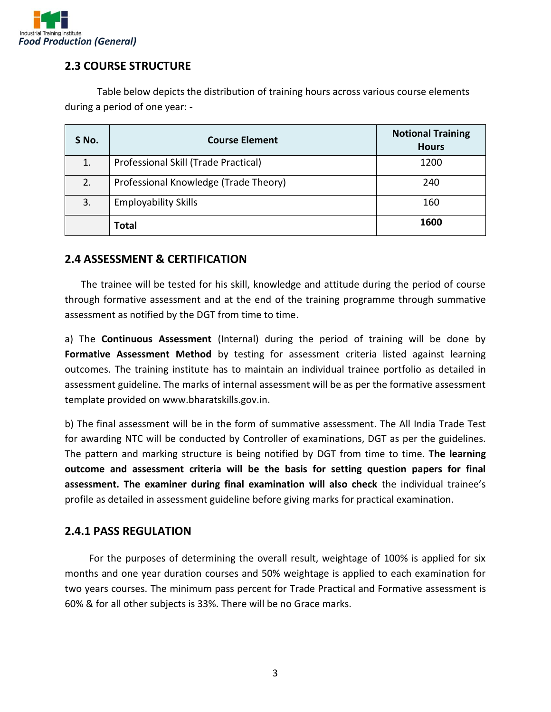

#### **2.3 COURSE STRUCTURE**

Table below depicts the distribution of training hours across various course elements during a period of one year: -

| S No. | <b>Course Element</b>                 | <b>Notional Training</b><br><b>Hours</b> |
|-------|---------------------------------------|------------------------------------------|
| 1.    | Professional Skill (Trade Practical)  | 1200                                     |
| 2.    | Professional Knowledge (Trade Theory) | 240                                      |
| 3.    | <b>Employability Skills</b>           | 160                                      |
|       | <b>Total</b>                          | 1600                                     |

#### **2.4 ASSESSMENT & CERTIFICATION**

The trainee will be tested for his skill, knowledge and attitude during the period of course through formative assessment and at the end of the training programme through summative assessment as notified by the DGT from time to time.

a) The **Continuous Assessment** (Internal) during the period of training will be done by **Formative Assessment Method** by testing for assessment criteria listed against learning outcomes. The training institute has to maintain an individual trainee portfolio as detailed in assessment guideline. The marks of internal assessment will be as per the formative assessment template provided on www.bharatskills.gov.in.

b) The final assessment will be in the form of summative assessment. The All India Trade Test for awarding NTC will be conducted by Controller of examinations, DGT as per the guidelines. The pattern and marking structure is being notified by DGT from time to time. **The learning outcome and assessment criteria will be the basis for setting question papers for final assessment. The examiner during final examination will also check** the individual trainee's profile as detailed in assessment guideline before giving marks for practical examination.

#### **2.4.1 PASS REGULATION**

For the purposes of determining the overall result, weightage of 100% is applied for six months and one year duration courses and 50% weightage is applied to each examination for two years courses. The minimum pass percent for Trade Practical and Formative assessment is 60% & for all other subjects is 33%. There will be no Grace marks.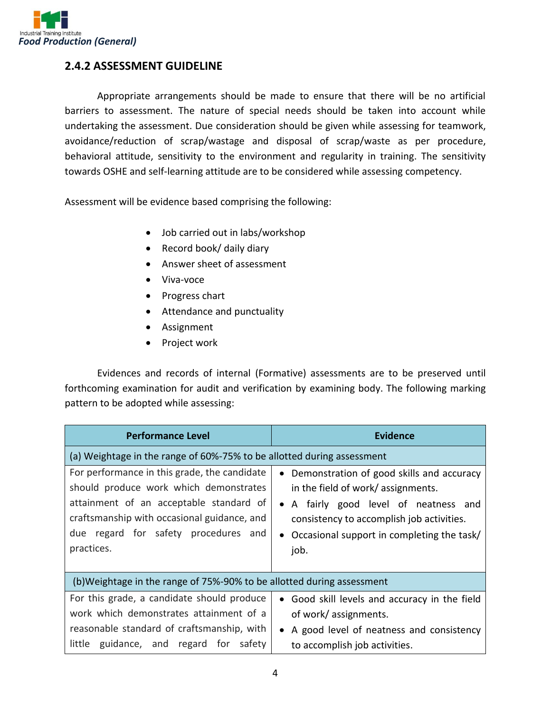

#### **2.4.2 ASSESSMENT GUIDELINE**

Appropriate arrangements should be made to ensure that there will be no artificial barriers to assessment. The nature of special needs should be taken into account while undertaking the assessment. Due consideration should be given while assessing for teamwork, avoidance/reduction of scrap/wastage and disposal of scrap/waste as per procedure, behavioral attitude, sensitivity to the environment and regularity in training. The sensitivity towards OSHE and self-learning attitude are to be considered while assessing competency.

Assessment will be evidence based comprising the following:

- Job carried out in labs/workshop
- Record book/ daily diary
- Answer sheet of assessment
- Viva-voce
- Progress chart
- Attendance and punctuality
- Assignment
- Project work

Evidences and records of internal (Formative) assessments are to be preserved until forthcoming examination for audit and verification by examining body. The following marking pattern to be adopted while assessing:

| <b>Performance Level</b>                                                                                                                                                                                                               | <b>Evidence</b>                                                                                                                                                                                                                                                 |  |  |
|----------------------------------------------------------------------------------------------------------------------------------------------------------------------------------------------------------------------------------------|-----------------------------------------------------------------------------------------------------------------------------------------------------------------------------------------------------------------------------------------------------------------|--|--|
| (a) Weightage in the range of 60%-75% to be allotted during assessment                                                                                                                                                                 |                                                                                                                                                                                                                                                                 |  |  |
| For performance in this grade, the candidate<br>should produce work which demonstrates<br>attainment of an acceptable standard of<br>craftsmanship with occasional guidance, and<br>due regard for safety procedures and<br>practices. | Demonstration of good skills and accuracy<br>$\bullet$<br>in the field of work/assignments.<br>A fairly good level of neatness and<br>$\bullet$<br>consistency to accomplish job activities.<br>Occasional support in completing the task/<br>$\bullet$<br>job. |  |  |
| (b) Weightage in the range of 75%-90% to be allotted during assessment                                                                                                                                                                 |                                                                                                                                                                                                                                                                 |  |  |
| For this grade, a candidate should produce<br>work which demonstrates attainment of a<br>reasonable standard of craftsmanship, with<br>little guidance, and regard for safety                                                          | Good skill levels and accuracy in the field<br>$\bullet$<br>of work/assignments.<br>A good level of neatness and consistency<br>$\bullet$<br>to accomplish job activities.                                                                                      |  |  |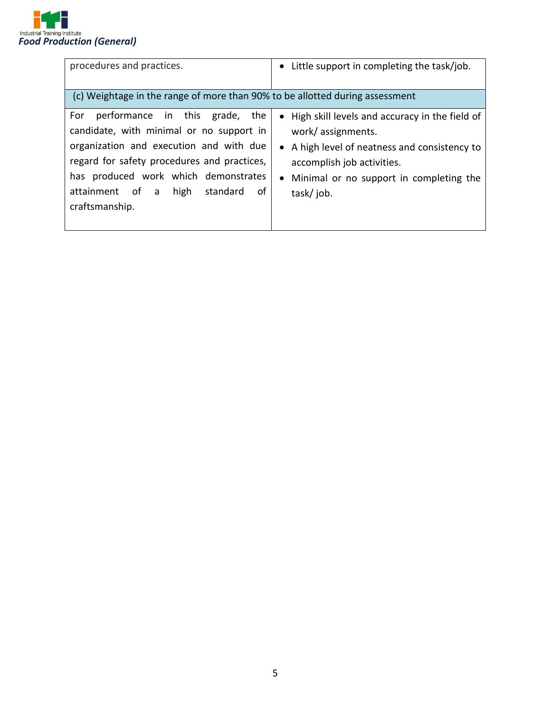

| procedures and practices.                                                                                                                                                                                                                                                               | • Little support in completing the task/job.                                                                                                                                                                   |
|-----------------------------------------------------------------------------------------------------------------------------------------------------------------------------------------------------------------------------------------------------------------------------------------|----------------------------------------------------------------------------------------------------------------------------------------------------------------------------------------------------------------|
| (c) Weightage in the range of more than 90% to be allotted during assessment                                                                                                                                                                                                            |                                                                                                                                                                                                                |
| performance in this grade, the<br>For<br>candidate, with minimal or no support in<br>organization and execution and with due<br>regard for safety procedures and practices,<br>has produced work which demonstrates<br>attainment of a high<br>$-$ of $-$<br>standard<br>craftsmanship. | • High skill levels and accuracy in the field of<br>work/assignments.<br>• A high level of neatness and consistency to<br>accomplish job activities.<br>• Minimal or no support in completing the<br>task/job. |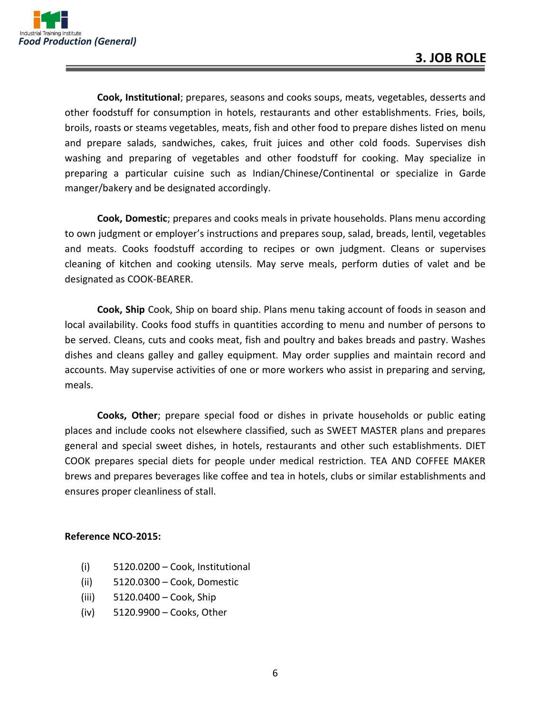

**Cook, Institutional**; prepares, seasons and cooks soups, meats, vegetables, desserts and other foodstuff for consumption in hotels, restaurants and other establishments. Fries, boils, broils, roasts or steams vegetables, meats, fish and other food to prepare dishes listed on menu and prepare salads, sandwiches, cakes, fruit juices and other cold foods. Supervises dish washing and preparing of vegetables and other foodstuff for cooking. May specialize in preparing a particular cuisine such as Indian/Chinese/Continental or specialize in Garde manger/bakery and be designated accordingly.

**Cook, Domestic**; prepares and cooks meals in private households. Plans menu according to own judgment or employer's instructions and prepares soup, salad, breads, lentil, vegetables and meats. Cooks foodstuff according to recipes or own judgment. Cleans or supervises cleaning of kitchen and cooking utensils. May serve meals, perform duties of valet and be designated as COOK-BEARER.

**Cook, Ship** Cook, Ship on board ship. Plans menu taking account of foods in season and local availability. Cooks food stuffs in quantities according to menu and number of persons to be served. Cleans, cuts and cooks meat, fish and poultry and bakes breads and pastry. Washes dishes and cleans galley and galley equipment. May order supplies and maintain record and accounts. May supervise activities of one or more workers who assist in preparing and serving, meals.

**Cooks, Other**; prepare special food or dishes in private households or public eating places and include cooks not elsewhere classified, such as SWEET MASTER plans and prepares general and special sweet dishes, in hotels, restaurants and other such establishments. DIET COOK prepares special diets for people under medical restriction. TEA AND COFFEE MAKER brews and prepares beverages like coffee and tea in hotels, clubs or similar establishments and ensures proper cleanliness of stall.

#### **Reference NCO-2015:**

- (i) 5120.0200 Cook, Institutional
- (ii) 5120.0300 Cook, Domestic
- (iii) 5120.0400 Cook, Ship
- (iv) 5120.9900 Cooks, Other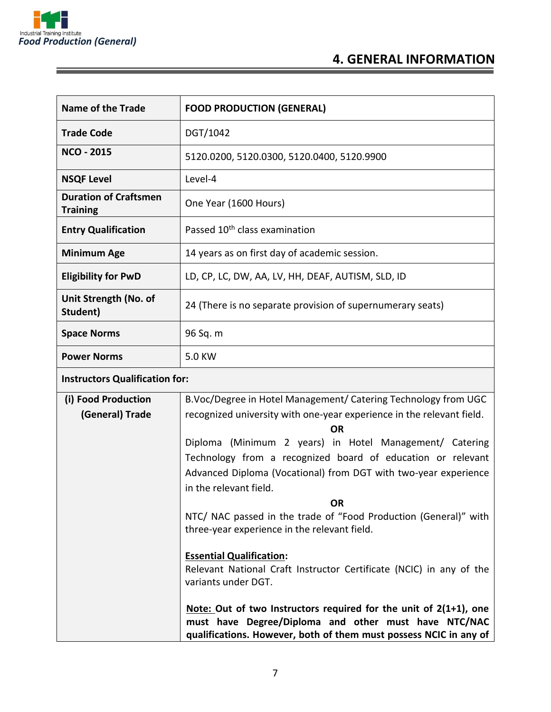

#### **4. GENERAL INFORMATION**

| <b>Name of the Trade</b>                        | <b>FOOD PRODUCTION (GENERAL)</b>                                                                                       |  |
|-------------------------------------------------|------------------------------------------------------------------------------------------------------------------------|--|
| <b>Trade Code</b>                               | DGT/1042                                                                                                               |  |
| <b>NCO - 2015</b>                               | 5120.0200, 5120.0300, 5120.0400, 5120.9900                                                                             |  |
| <b>NSQF Level</b>                               | Level-4                                                                                                                |  |
| <b>Duration of Craftsmen</b><br><b>Training</b> | One Year (1600 Hours)                                                                                                  |  |
| <b>Entry Qualification</b>                      | Passed 10 <sup>th</sup> class examination                                                                              |  |
| <b>Minimum Age</b>                              | 14 years as on first day of academic session.                                                                          |  |
| <b>Eligibility for PwD</b>                      | LD, CP, LC, DW, AA, LV, HH, DEAF, AUTISM, SLD, ID                                                                      |  |
| Unit Strength (No. of<br>Student)               | 24 (There is no separate provision of supernumerary seats)                                                             |  |
| <b>Space Norms</b>                              | 96 Sq. m                                                                                                               |  |
| <b>Power Norms</b>                              | 5.0 KW                                                                                                                 |  |
| <b>Instructors Qualification for:</b>           |                                                                                                                        |  |
| (i) Food Production                             | B.Voc/Degree in Hotel Management/ Catering Technology from UGC                                                         |  |
| (General) Trade                                 | recognized university with one-year experience in the relevant field.                                                  |  |
|                                                 | <b>OR</b>                                                                                                              |  |
|                                                 | Diploma (Minimum 2 years) in Hotel Management/ Catering<br>Technology from a recognized board of education or relevant |  |
|                                                 | Advanced Diploma (Vocational) from DGT with two-year experience                                                        |  |
|                                                 | in the relevant field.                                                                                                 |  |
|                                                 | <b>OR</b>                                                                                                              |  |

NTC/ NAC passed in the trade of "Food Production (General)" with three-year experience in the relevant field.

**Essential Qualification:**  Relevant National Craft Instructor Certificate (NCIC) in any of the variants under DGT.

**Note: Out of two Instructors required for the unit of 2(1+1), one must have Degree/Diploma and other must have NTC/NAC qualifications. However, both of them must possess NCIC in any of**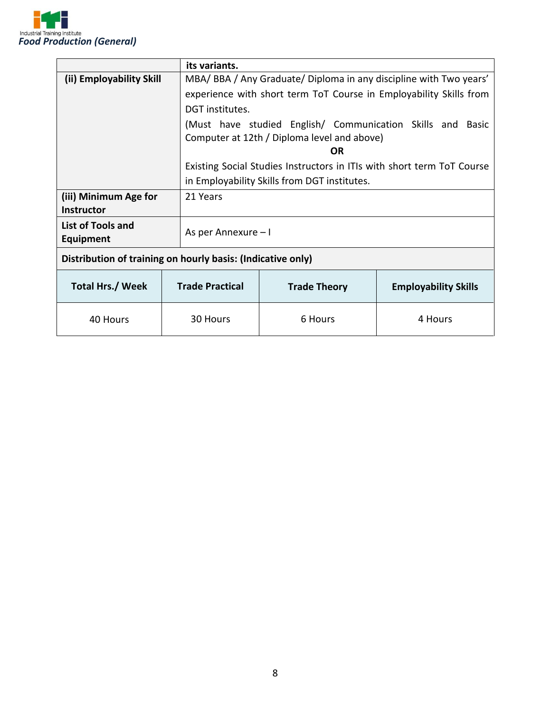

|                                                             | its variants.          |                                                                        |                             |  |  |
|-------------------------------------------------------------|------------------------|------------------------------------------------------------------------|-----------------------------|--|--|
| (ii) Employability Skill                                    |                        | MBA/ BBA / Any Graduate/ Diploma in any discipline with Two years'     |                             |  |  |
|                                                             |                        | experience with short term ToT Course in Employability Skills from     |                             |  |  |
|                                                             | DGT institutes.        |                                                                        |                             |  |  |
|                                                             |                        | (Must have studied English/ Communication Skills and Basic             |                             |  |  |
|                                                             |                        | Computer at 12th / Diploma level and above)                            |                             |  |  |
|                                                             |                        | <b>OR</b>                                                              |                             |  |  |
|                                                             |                        | Existing Social Studies Instructors in ITIs with short term ToT Course |                             |  |  |
|                                                             |                        | in Employability Skills from DGT institutes.                           |                             |  |  |
| (iii) Minimum Age for                                       | 21 Years               |                                                                        |                             |  |  |
| <b>Instructor</b>                                           |                        |                                                                        |                             |  |  |
| List of Tools and                                           |                        | As per Annexure – I                                                    |                             |  |  |
| <b>Equipment</b>                                            |                        |                                                                        |                             |  |  |
| Distribution of training on hourly basis: (Indicative only) |                        |                                                                        |                             |  |  |
| <b>Total Hrs./ Week</b>                                     | <b>Trade Practical</b> | <b>Trade Theory</b>                                                    | <b>Employability Skills</b> |  |  |
| 40 Hours                                                    | 30 Hours               | 6 Hours                                                                | 4 Hours                     |  |  |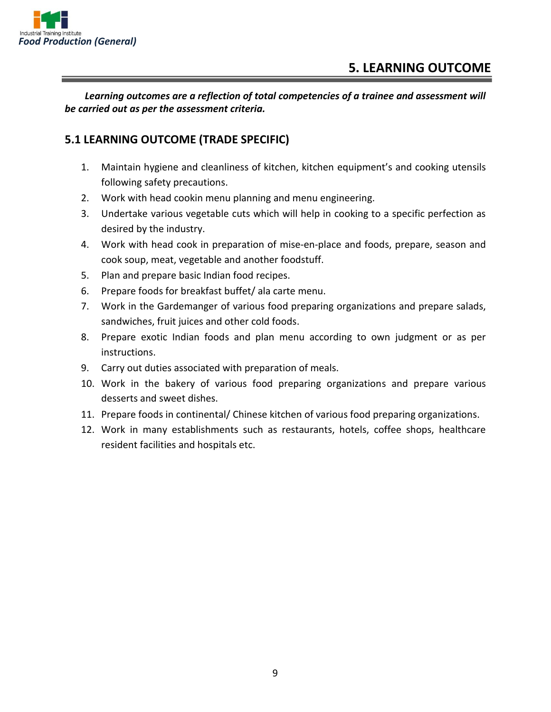

*Learning outcomes are a reflection of total competencies of a trainee and assessment will be carried out as per the assessment criteria.*

#### **5.1 LEARNING OUTCOME (TRADE SPECIFIC)**

- 1. Maintain hygiene and cleanliness of kitchen, kitchen equipment's and cooking utensils following safety precautions.
- 2. Work with head cookin menu planning and menu engineering.
- 3. Undertake various vegetable cuts which will help in cooking to a specific perfection as desired by the industry.
- 4. Work with head cook in preparation of mise-en-place and foods, prepare, season and cook soup, meat, vegetable and another foodstuff.
- 5. Plan and prepare basic Indian food recipes.
- 6. Prepare foods for breakfast buffet/ ala carte menu.
- 7. Work in the Gardemanger of various food preparing organizations and prepare salads, sandwiches, fruit juices and other cold foods.
- 8. Prepare exotic Indian foods and plan menu according to own judgment or as per instructions.
- 9. Carry out duties associated with preparation of meals.
- 10. Work in the bakery of various food preparing organizations and prepare various desserts and sweet dishes.
- 11. Prepare foods in continental/ Chinese kitchen of various food preparing organizations.
- 12. Work in many establishments such as restaurants, hotels, coffee shops, healthcare resident facilities and hospitals etc.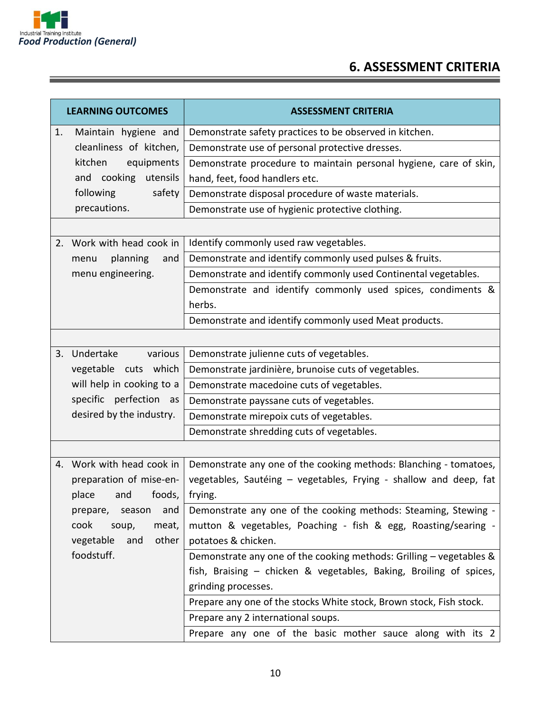

## **6. ASSESSMENT CRITERIA**

|                       | <b>LEARNING OUTCOMES</b>  | <b>ASSESSMENT CRITERIA</b>                                          |  |  |
|-----------------------|---------------------------|---------------------------------------------------------------------|--|--|
| 1.                    | Maintain hygiene and      | Demonstrate safety practices to be observed in kitchen.             |  |  |
|                       | cleanliness of kitchen,   | Demonstrate use of personal protective dresses.                     |  |  |
| kitchen<br>equipments |                           | Demonstrate procedure to maintain personal hygiene, care of skin,   |  |  |
|                       | cooking utensils<br>and   | hand, feet, food handlers etc.                                      |  |  |
|                       | following<br>safety       | Demonstrate disposal procedure of waste materials.                  |  |  |
|                       | precautions.              | Demonstrate use of hygienic protective clothing.                    |  |  |
|                       |                           |                                                                     |  |  |
|                       | 2. Work with head cook in | Identify commonly used raw vegetables.                              |  |  |
|                       | planning<br>and<br>menu   | Demonstrate and identify commonly used pulses & fruits.             |  |  |
|                       | menu engineering.         | Demonstrate and identify commonly used Continental vegetables.      |  |  |
|                       |                           | Demonstrate and identify commonly used spices, condiments &         |  |  |
|                       |                           | herbs.                                                              |  |  |
|                       |                           | Demonstrate and identify commonly used Meat products.               |  |  |
|                       |                           |                                                                     |  |  |
|                       | 3. Undertake<br>various   | Demonstrate julienne cuts of vegetables.                            |  |  |
|                       | vegetable cuts which      | Demonstrate jardinière, brunoise cuts of vegetables.                |  |  |
|                       | will help in cooking to a | Demonstrate macedoine cuts of vegetables.                           |  |  |
|                       | specific perfection as    | Demonstrate payssane cuts of vegetables.                            |  |  |
|                       | desired by the industry.  | Demonstrate mirepoix cuts of vegetables.                            |  |  |
|                       |                           | Demonstrate shredding cuts of vegetables.                           |  |  |
|                       |                           |                                                                     |  |  |
|                       | 4. Work with head cook in | Demonstrate any one of the cooking methods: Blanching - tomatoes,   |  |  |
|                       | preparation of mise-en-   | vegetables, Sautéing - vegetables, Frying - shallow and deep, fat   |  |  |
|                       | place<br>foods,<br>and    | frying.                                                             |  |  |
|                       | prepare,<br>season<br>and | Demonstrate any one of the cooking methods: Steaming, Stewing -     |  |  |
|                       | cook<br>meat,<br>soup,    | mutton & vegetables, Poaching - fish & egg, Roasting/searing -      |  |  |
|                       | other<br>vegetable<br>and | potatoes & chicken.                                                 |  |  |
|                       | foodstuff.                | Demonstrate any one of the cooking methods: Grilling - vegetables & |  |  |
|                       |                           | fish, Braising - chicken & vegetables, Baking, Broiling of spices,  |  |  |
|                       |                           | grinding processes.                                                 |  |  |
|                       |                           | Prepare any one of the stocks White stock, Brown stock, Fish stock. |  |  |
|                       |                           | Prepare any 2 international soups.                                  |  |  |
|                       |                           | Prepare any one of the basic mother sauce along with its 2          |  |  |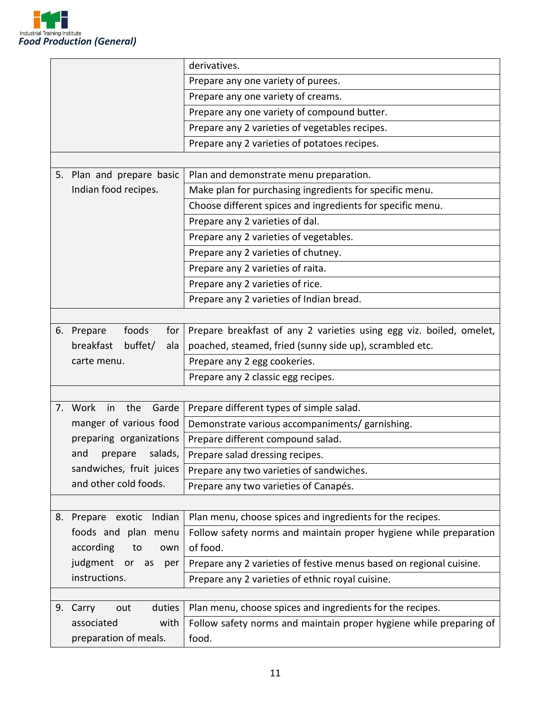

|    |                                            | derivatives.                                                        |
|----|--------------------------------------------|---------------------------------------------------------------------|
|    |                                            | Prepare any one variety of purees.                                  |
|    |                                            | Prepare any one variety of creams.                                  |
|    |                                            | Prepare any one variety of compound butter.                         |
|    |                                            | Prepare any 2 varieties of vegetables recipes.                      |
|    |                                            | Prepare any 2 varieties of potatoes recipes.                        |
|    |                                            |                                                                     |
|    | 5. Plan and prepare basic                  | Plan and demonstrate menu preparation.                              |
|    | Indian food recipes.                       | Make plan for purchasing ingredients for specific menu.             |
|    |                                            | Choose different spices and ingredients for specific menu.          |
|    |                                            | Prepare any 2 varieties of dal.                                     |
|    |                                            | Prepare any 2 varieties of vegetables.                              |
|    |                                            | Prepare any 2 varieties of chutney.                                 |
|    |                                            | Prepare any 2 varieties of raita.                                   |
|    |                                            | Prepare any 2 varieties of rice.                                    |
|    |                                            | Prepare any 2 varieties of Indian bread.                            |
|    |                                            |                                                                     |
|    | 6. Prepare<br>foods<br>for                 | Prepare breakfast of any 2 varieties using egg viz. boiled, omelet, |
|    | buffet/<br>breakfast<br>ala<br>carte menu. | poached, steamed, fried (sunny side up), scrambled etc.             |
|    |                                            | Prepare any 2 egg cookeries.                                        |
|    |                                            | Prepare any 2 classic egg recipes.                                  |
|    |                                            |                                                                     |
|    | Garde<br>7. Work<br>in<br>the              | Prepare different types of simple salad.                            |
|    | manger of various food                     | Demonstrate various accompaniments/ garnishing.                     |
|    | preparing organizations                    | Prepare different compound salad.                                   |
|    | salads,<br>and<br>prepare                  | Prepare salad dressing recipes.                                     |
|    | sandwiches, fruit juices                   | Prepare any two varieties of sandwiches.                            |
|    | and other cold foods.                      | Prepare any two varieties of Canapés.                               |
|    |                                            |                                                                     |
| 8. | Indian<br>Prepare exotic                   | Plan menu, choose spices and ingredients for the recipes.           |
|    | foods and plan menu                        | Follow safety norms and maintain proper hygiene while preparation   |
|    | according<br>to<br>own                     | of food.                                                            |
|    | judgment or as<br>per                      | Prepare any 2 varieties of festive menus based on regional cuisine. |
|    | instructions.                              | Prepare any 2 varieties of ethnic royal cuisine.                    |
|    |                                            |                                                                     |
| 9. | duties<br>Carry<br>out                     | Plan menu, choose spices and ingredients for the recipes.           |
|    | with<br>associated                         | Follow safety norms and maintain proper hygiene while preparing of  |
|    | preparation of meals.                      | food.                                                               |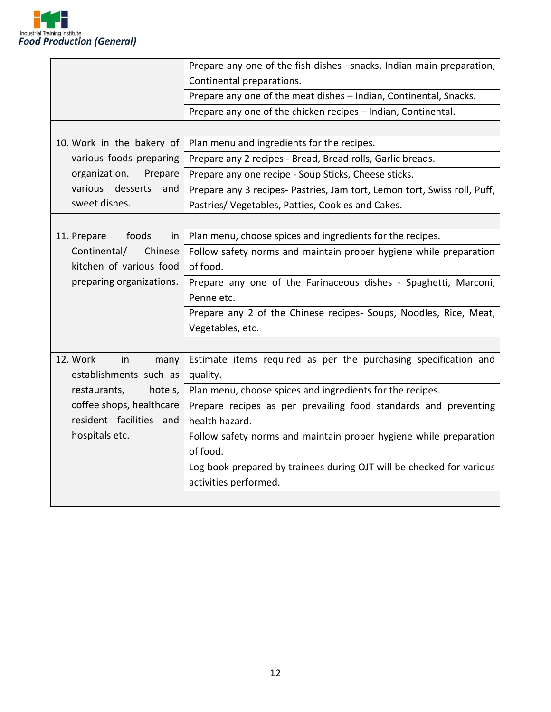

|                            | Prepare any one of the fish dishes -snacks, Indian main preparation,     |
|----------------------------|--------------------------------------------------------------------------|
|                            | Continental preparations.                                                |
|                            | Prepare any one of the meat dishes - Indian, Continental, Snacks.        |
|                            | Prepare any one of the chicken recipes - Indian, Continental.            |
|                            |                                                                          |
| 10. Work in the bakery of  | Plan menu and ingredients for the recipes.                               |
| various foods preparing    | Prepare any 2 recipes - Bread, Bread rolls, Garlic breads.               |
| organization.<br>Prepare   | Prepare any one recipe - Soup Sticks, Cheese sticks.                     |
| various desserts<br>and    | Prepare any 3 recipes- Pastries, Jam tort, Lemon tort, Swiss roll, Puff, |
| sweet dishes.              | Pastries/ Vegetables, Patties, Cookies and Cakes.                        |
|                            |                                                                          |
| 11. Prepare<br>foods<br>in | Plan menu, choose spices and ingredients for the recipes.                |
| Continental/<br>Chinese    | Follow safety norms and maintain proper hygiene while preparation        |
| kitchen of various food    | of food.                                                                 |
| preparing organizations.   | Prepare any one of the Farinaceous dishes - Spaghetti, Marconi,          |
|                            | Penne etc.                                                               |
|                            | Prepare any 2 of the Chinese recipes- Soups, Noodles, Rice, Meat,        |
|                            | Vegetables, etc.                                                         |
|                            |                                                                          |
| 12. Work<br>in<br>many     | Estimate items required as per the purchasing specification and          |
| establishments such as     | quality.                                                                 |
| restaurants,<br>hotels,    | Plan menu, choose spices and ingredients for the recipes.                |
| coffee shops, healthcare   | Prepare recipes as per prevailing food standards and preventing          |
| resident facilities and    | health hazard.                                                           |
| hospitals etc.             | Follow safety norms and maintain proper hygiene while preparation        |
|                            | of food.                                                                 |
|                            | Log book prepared by trainees during OJT will be checked for various     |
|                            | activities performed.                                                    |
|                            |                                                                          |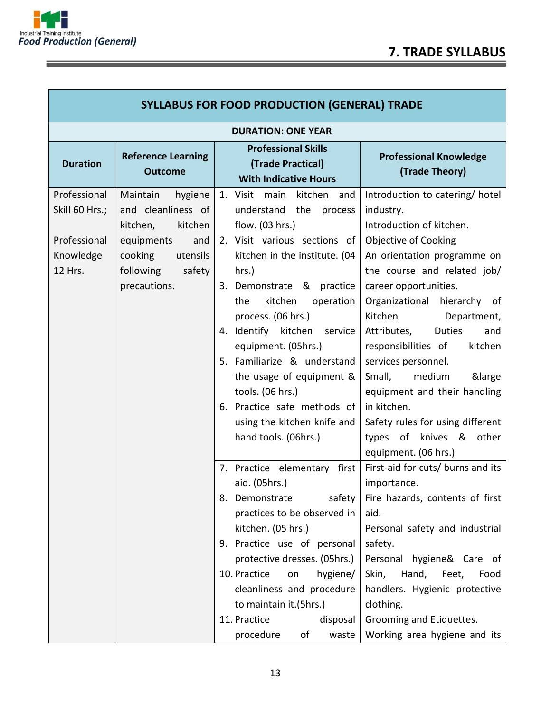



<u> The Common Section of the Common Section of the Common Section of the Common Section of the Common Section of</u>

E

| <b>SYLLABUS FOR FOOD PRODUCTION (GENERAL) TRADE</b>                    |                                                                                                                                                     |                                                                                                                                                                                                                                                                                                                                                                                                                                                                  |                                                                                                                                                                                                                                                                                                                                                                                                                                                                                                                        |  |
|------------------------------------------------------------------------|-----------------------------------------------------------------------------------------------------------------------------------------------------|------------------------------------------------------------------------------------------------------------------------------------------------------------------------------------------------------------------------------------------------------------------------------------------------------------------------------------------------------------------------------------------------------------------------------------------------------------------|------------------------------------------------------------------------------------------------------------------------------------------------------------------------------------------------------------------------------------------------------------------------------------------------------------------------------------------------------------------------------------------------------------------------------------------------------------------------------------------------------------------------|--|
| <b>DURATION: ONE YEAR</b>                                              |                                                                                                                                                     |                                                                                                                                                                                                                                                                                                                                                                                                                                                                  |                                                                                                                                                                                                                                                                                                                                                                                                                                                                                                                        |  |
| <b>Duration</b>                                                        | <b>Reference Learning</b><br><b>Outcome</b>                                                                                                         | <b>Professional Skills</b><br>(Trade Practical)<br><b>With Indicative Hours</b>                                                                                                                                                                                                                                                                                                                                                                                  | <b>Professional Knowledge</b><br>(Trade Theory)                                                                                                                                                                                                                                                                                                                                                                                                                                                                        |  |
| Professional<br>Skill 60 Hrs.;<br>Professional<br>Knowledge<br>12 Hrs. | Maintain<br>hygiene<br>and cleanliness of<br>kitchen<br>kitchen,<br>equipments<br>and<br>cooking<br>utensils<br>following<br>safety<br>precautions. | 1. Visit main kitchen and<br>understand the<br>process<br>flow. (03 hrs.)<br>2. Visit various sections of<br>kitchen in the institute. (04<br>hrs.)<br>3. Demonstrate & practice<br>kitchen<br>the<br>operation<br>process. (06 hrs.)<br>4. Identify kitchen service<br>equipment. (05hrs.)<br>5. Familiarize & understand<br>the usage of equipment &<br>tools. (06 hrs.)<br>6. Practice safe methods of<br>using the kitchen knife and<br>hand tools. (06hrs.) | Introduction to catering/hotel<br>industry.<br>Introduction of kitchen.<br><b>Objective of Cooking</b><br>An orientation programme on<br>the course and related job/<br>career opportunities.<br>Organizational<br>hierarchy of<br>Kitchen<br>Department,<br>Attributes,<br>Duties<br>and<br>responsibilities of<br>kitchen<br>services personnel.<br>Small,<br>medium<br>&large<br>equipment and their handling<br>in kitchen.<br>Safety rules for using different<br>types of knives & other<br>equipment. (06 hrs.) |  |
|                                                                        |                                                                                                                                                     | 7. Practice elementary first<br>aid. (05hrs.)<br>practices to be observed in<br>kitchen. (05 hrs.)<br>9. Practice use of personal<br>protective dresses. (05hrs.)<br>10. Practice<br>hygiene/<br>on<br>cleanliness and procedure<br>to maintain it.(5hrs.)<br>11. Practice<br>disposal<br>procedure<br>of<br>waste                                                                                                                                               | First-aid for cuts/ burns and its<br>importance.<br>8. Demonstrate safety   Fire hazards, contents of first<br>aid.<br>Personal safety and industrial<br>safety.<br>Personal hygiene& Care of<br>Hand, Feet,<br>Skin,<br>Food<br>handlers. Hygienic protective<br>clothing.<br>Grooming and Etiquettes.<br>Working area hygiene and its                                                                                                                                                                                |  |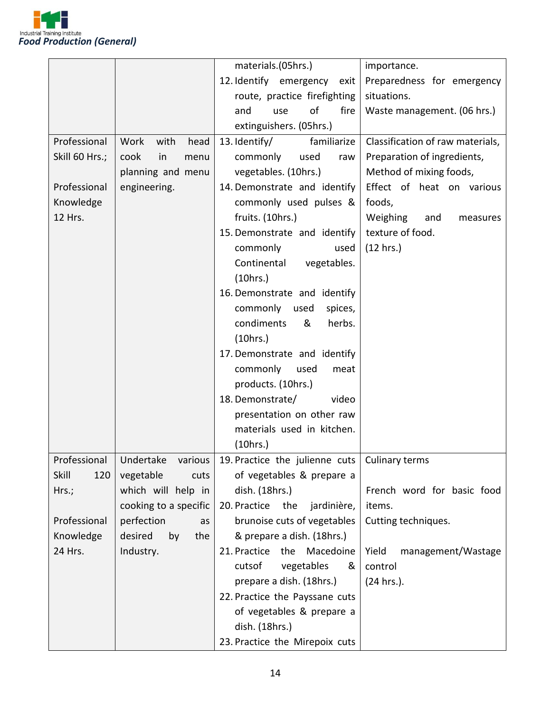

|                |                       | materials.(05hrs.)                                                                 | importance.                      |
|----------------|-----------------------|------------------------------------------------------------------------------------|----------------------------------|
|                |                       | 12. Identify emergency<br>exit                                                     | Preparedness for emergency       |
|                |                       | route, practice firefighting                                                       | situations.                      |
|                |                       | of<br>and<br>fire<br>use                                                           | Waste management. (06 hrs.)      |
|                |                       | extinguishers. (05hrs.)                                                            |                                  |
| Professional   | Work<br>with<br>head  | familiarize<br>13. Identify/                                                       | Classification of raw materials, |
| Skill 60 Hrs.; | cook<br>in<br>menu    | commonly<br>used<br>raw                                                            | Preparation of ingredients,      |
|                | planning and menu     | vegetables. (10hrs.)                                                               | Method of mixing foods,          |
| Professional   | engineering.          | 14. Demonstrate and identify                                                       | Effect of heat on various        |
| Knowledge      |                       | commonly used pulses &                                                             | foods,                           |
| 12 Hrs.        |                       | fruits. (10hrs.)                                                                   | Weighing<br>and<br>measures      |
|                |                       | 15. Demonstrate and identify                                                       | texture of food.                 |
|                |                       | commonly<br>used                                                                   | (12 hrs.)                        |
|                |                       | Continental<br>vegetables.                                                         |                                  |
|                |                       | (10 hrs.)                                                                          |                                  |
|                |                       | 16. Demonstrate and identify                                                       |                                  |
|                |                       | commonly used<br>spices,                                                           |                                  |
|                |                       | herbs.<br>condiments<br>&                                                          |                                  |
|                |                       | (10 hrs.)                                                                          |                                  |
|                |                       | 17. Demonstrate and identify                                                       |                                  |
|                |                       | commonly used<br>meat                                                              |                                  |
|                |                       | products. (10hrs.)                                                                 |                                  |
|                |                       | 18. Demonstrate/<br>video                                                          |                                  |
|                |                       | presentation on other raw                                                          |                                  |
|                |                       | materials used in kitchen.                                                         |                                  |
|                |                       | (10hrs.)                                                                           |                                  |
|                |                       | Professional   Undertake various   19. Practice the julienne cuts   Culinary terms |                                  |
| Skill<br>120   | vegetable<br>cuts     | of vegetables & prepare a                                                          |                                  |
| Hrs.;          | which will help in    | dish. (18hrs.)                                                                     | French word for basic food       |
|                | cooking to a specific | 20. Practice<br>jardinière,<br>the                                                 | items.                           |
| Professional   | perfection<br>as      | brunoise cuts of vegetables                                                        | Cutting techniques.              |
| Knowledge      | desired<br>by<br>the  | & prepare a dish. (18hrs.)                                                         |                                  |
| 24 Hrs.        | Industry.             | 21. Practice<br>Macedoine<br>the                                                   | management/Wastage<br>Yield      |
|                |                       | cutsof<br>vegetables<br>&                                                          | control                          |
|                |                       | prepare a dish. (18hrs.)                                                           | (24 hrs.).                       |
|                |                       | 22. Practice the Payssane cuts                                                     |                                  |
|                |                       | of vegetables & prepare a                                                          |                                  |
|                |                       | dish. (18hrs.)                                                                     |                                  |
|                |                       | 23. Practice the Mirepoix cuts                                                     |                                  |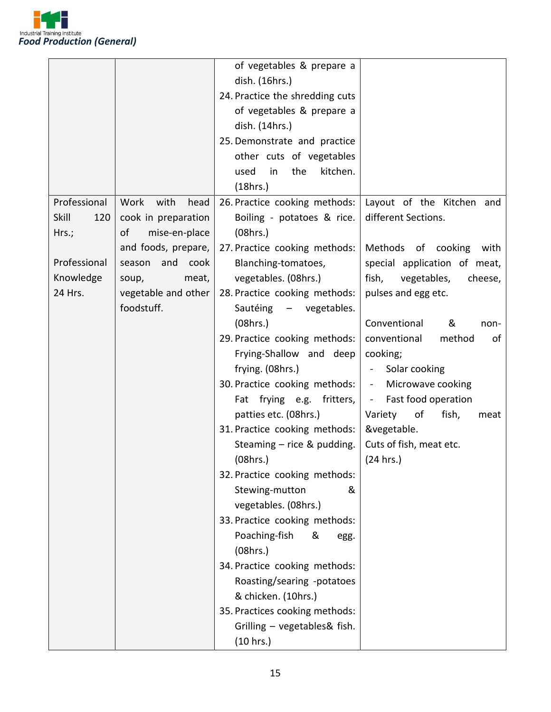

|              |                      | of vegetables & prepare a       |                                           |
|--------------|----------------------|---------------------------------|-------------------------------------------|
|              |                      | dish. (16hrs.)                  |                                           |
|              |                      | 24. Practice the shredding cuts |                                           |
|              |                      | of vegetables & prepare a       |                                           |
|              |                      | dish. (14hrs.)                  |                                           |
|              |                      | 25. Demonstrate and practice    |                                           |
|              |                      | other cuts of vegetables        |                                           |
|              |                      | used<br>in                      |                                           |
|              |                      | the<br>kitchen.                 |                                           |
|              |                      | (18hrs.)                        |                                           |
| Professional | Work<br>with<br>head | 26. Practice cooking methods:   | Layout of the Kitchen and                 |
| Skill<br>120 | cook in preparation  | Boiling - potatoes & rice.      | different Sections.                       |
| Hrs.;        | of<br>mise-en-place  | (08hrs.)                        |                                           |
|              | and foods, prepare,  | 27. Practice cooking methods:   | Methods of cooking<br>with                |
| Professional | season and<br>cook   | Blanching-tomatoes,             | special application of meat,              |
| Knowledge    | meat,<br>soup,       | vegetables. (08hrs.)            | fish,<br>vegetables,<br>cheese,           |
| 24 Hrs.      | vegetable and other  | 28. Practice cooking methods:   | pulses and egg etc.                       |
|              | foodstuff.           | Sautéing<br>- vegetables.       |                                           |
|              |                      | (08hrs.)                        | Conventional<br>&<br>non-                 |
|              |                      | 29. Practice cooking methods:   | conventional<br>method<br>οf              |
|              |                      | Frying-Shallow and deep         | cooking;                                  |
|              |                      | frying. (08hrs.)                | Solar cooking<br>$\overline{\phantom{0}}$ |
|              |                      | 30. Practice cooking methods:   | Microwave cooking<br>$\frac{1}{2}$        |
|              |                      | Fat frying e.g. fritters,       | Fast food operation<br>$\frac{1}{2}$ .    |
|              |                      | patties etc. (08hrs.)           | Variety<br>fish,<br>of<br>meat            |
|              |                      | 31. Practice cooking methods:   | &vegetable.                               |
|              |                      | Steaming $-$ rice & pudding.    | Cuts of fish, meat etc.                   |
|              |                      | (08hrs.)                        | (24 hrs.)                                 |
|              |                      | 32. Practice cooking methods:   |                                           |
|              |                      | Stewing-mutton<br>&             |                                           |
|              |                      | vegetables. (08hrs.)            |                                           |
|              |                      | 33. Practice cooking methods:   |                                           |
|              |                      |                                 |                                           |
|              |                      | Poaching-fish<br>&<br>egg.      |                                           |
|              |                      | (08hrs.)                        |                                           |
|              |                      | 34. Practice cooking methods:   |                                           |
|              |                      | Roasting/searing -potatoes      |                                           |
|              |                      | & chicken. (10hrs.)             |                                           |
|              |                      | 35. Practices cooking methods:  |                                           |
|              |                      | Grilling - vegetables& fish.    |                                           |
|              |                      | (10 hrs.)                       |                                           |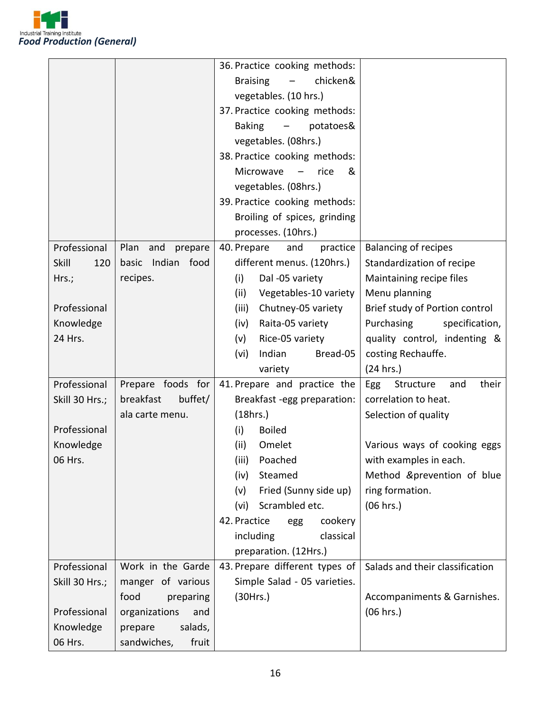

|                |                        | 36. Practice cooking methods:                           |                                 |
|----------------|------------------------|---------------------------------------------------------|---------------------------------|
|                |                        | chicken&<br><b>Braising</b><br>$\overline{\phantom{m}}$ |                                 |
|                |                        | vegetables. (10 hrs.)                                   |                                 |
|                |                        | 37. Practice cooking methods:                           |                                 |
|                |                        | <b>Baking</b><br>potatoes&<br>$\overline{\phantom{m}}$  |                                 |
|                |                        | vegetables. (08hrs.)                                    |                                 |
|                |                        | 38. Practice cooking methods:                           |                                 |
|                |                        | Microwave<br>rice<br>&<br>$\overline{\phantom{m}}$      |                                 |
|                |                        | vegetables. (08hrs.)                                    |                                 |
|                |                        | 39. Practice cooking methods:                           |                                 |
|                |                        | Broiling of spices, grinding                            |                                 |
|                |                        | processes. (10hrs.)                                     |                                 |
| Professional   | Plan<br>and<br>prepare | 40. Prepare<br>practice<br>and                          | <b>Balancing of recipes</b>     |
| Skill<br>120   | basic Indian food      | different menus. (120hrs.)                              | Standardization of recipe       |
| Hrs.;          | recipes.               | Dal -05 variety<br>(i)                                  | Maintaining recipe files        |
|                |                        | (ii)<br>Vegetables-10 variety                           | Menu planning                   |
| Professional   |                        | (iii)<br>Chutney-05 variety                             | Brief study of Portion control  |
| Knowledge      |                        | Raita-05 variety<br>(iv)                                | Purchasing<br>specification,    |
| 24 Hrs.        |                        | Rice-05 variety<br>(v)                                  | quality control, indenting &    |
|                |                        | (vi)<br>Indian<br>Bread-05                              | costing Rechauffe.              |
|                |                        | variety                                                 | (24 hrs.)                       |
| Professional   | Prepare foods for      | 41. Prepare and practice the                            | Egg Structure<br>their<br>and   |
| Skill 30 Hrs.; | breakfast<br>buffet/   | Breakfast -egg preparation:                             | correlation to heat.            |
|                | ala carte menu.        | (18hrs.)                                                | Selection of quality            |
| Professional   |                        | <b>Boiled</b><br>(i)                                    |                                 |
| Knowledge      |                        | (ii)<br>Omelet                                          | Various ways of cooking eggs    |
| 06 Hrs.        |                        | (iii) Poached                                           | with examples in each.          |
|                |                        | (iv)<br>Steamed                                         | Method &prevention of blue      |
|                |                        | Fried (Sunny side up)<br>(v)                            | ring formation.                 |
|                |                        | Scrambled etc.<br>(vi)                                  | (06 hrs.)                       |
|                |                        | 42. Practice<br>cookery<br>egg                          |                                 |
|                |                        | including<br>classical                                  |                                 |
|                |                        | preparation. (12Hrs.)                                   |                                 |
| Professional   | Work in the Garde      | 43. Prepare different types of                          | Salads and their classification |
| Skill 30 Hrs.; | manger of various      | Simple Salad - 05 varieties.                            |                                 |
|                | food<br>preparing      | (30Hrs.)                                                | Accompaniments & Garnishes.     |
| Professional   | organizations<br>and   |                                                         | (06 hrs.)                       |
| Knowledge      | salads,<br>prepare     |                                                         |                                 |
| 06 Hrs.        | sandwiches,<br>fruit   |                                                         |                                 |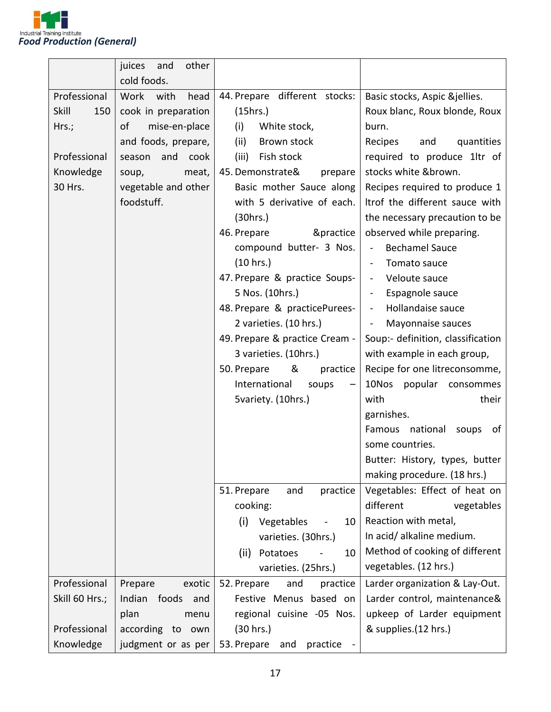

|                     | juices<br>and<br>other |                                |                                         |
|---------------------|------------------------|--------------------------------|-----------------------------------------|
|                     | cold foods.            |                                |                                         |
| Professional        | Work<br>with<br>head   | 44. Prepare different stocks:  | Basic stocks, Aspic &jellies.           |
| <b>Skill</b><br>150 | cook in preparation    | (15hrs.)                       | Roux blanc, Roux blonde, Roux           |
| Hrs.;               | of<br>mise-en-place    | (i)<br>White stock,            | burn.                                   |
|                     | and foods, prepare,    | (ii)<br>Brown stock            | quantities<br>Recipes<br>and            |
| Professional        | season<br>and<br>cook  | (iii)<br>Fish stock            | required to produce 1ltr of             |
| Knowledge           | meat,<br>soup,         | 45. Demonstrate&<br>prepare    | stocks white &brown.                    |
| 30 Hrs.             | vegetable and other    | Basic mother Sauce along       | Recipes required to produce 1           |
|                     | foodstuff.             | with 5 derivative of each.     | Itrof the different sauce with          |
|                     |                        | (30 hrs.)                      | the necessary precaution to be          |
|                     |                        | 46. Prepare<br>&practice       | observed while preparing.               |
|                     |                        | compound butter- 3 Nos.        | <b>Bechamel Sauce</b><br>$\blacksquare$ |
|                     |                        | (10 hrs.)                      | Tomato sauce                            |
|                     |                        | 47. Prepare & practice Soups-  | Veloute sauce                           |
|                     |                        | 5 Nos. (10hrs.)                | Espagnole sauce                         |
|                     |                        | 48. Prepare & practicePurees-  | Hollandaise sauce<br>$\sim$             |
|                     |                        | 2 varieties. (10 hrs.)         | Mayonnaise sauces<br>$\blacksquare$     |
|                     |                        | 49. Prepare & practice Cream - | Soup:- definition, classification       |
|                     |                        | 3 varieties. (10hrs.)          | with example in each group,             |
|                     |                        | &<br>50. Prepare<br>practice   | Recipe for one litreconsomme,           |
|                     |                        | International<br>soups         | 10Nos<br>popular consommes              |
|                     |                        | 5variety. (10hrs.)             | with<br>their                           |
|                     |                        |                                | garnishes.                              |
|                     |                        |                                | Famous national<br>soups<br>of          |
|                     |                        |                                | some countries.                         |
|                     |                        |                                | Butter: History, types, butter          |
|                     |                        |                                | making procedure. (18 hrs.)             |
|                     |                        | 51. Prepare<br>practice<br>and | Vegetables: Effect of heat on           |
|                     |                        | cooking:                       | different<br>vegetables                 |
|                     |                        | (i)<br>Vegetables<br>10        | Reaction with metal,                    |
|                     |                        | varieties. (30hrs.)            | In acid/ alkaline medium.               |
|                     |                        | (ii)<br>Potatoes<br>10         | Method of cooking of different          |
|                     |                        | varieties. (25hrs.)            | vegetables. (12 hrs.)                   |
| Professional        | Prepare<br>exotic      | 52. Prepare<br>and<br>practice | Larder organization & Lay-Out.          |
| Skill 60 Hrs.;      | Indian<br>foods and    | Festive Menus based on         | Larder control, maintenance&            |
|                     | plan<br>menu           | regional cuisine -05 Nos.      | upkeep of Larder equipment              |
| Professional        | according to own       | (30 hrs.)                      | & supplies.(12 hrs.)                    |
| Knowledge           | judgment or as per     | 53. Prepare<br>and<br>practice |                                         |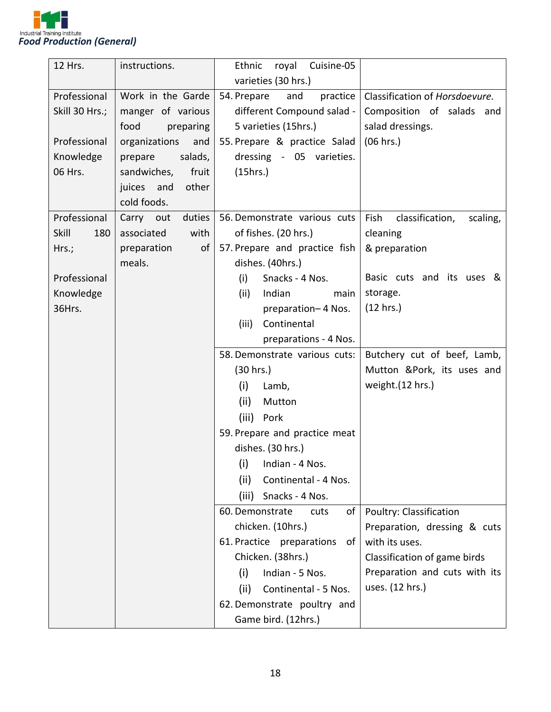

| 12 Hrs.        | instructions.        | Ethnic<br>Cuisine-05<br>royal   |                                     |
|----------------|----------------------|---------------------------------|-------------------------------------|
|                |                      | varieties (30 hrs.)             |                                     |
| Professional   | Work in the Garde    | practice<br>54. Prepare<br>and  | Classification of Horsdoevure.      |
| Skill 30 Hrs.; | manger of various    | different Compound salad -      | Composition of salads and           |
|                | food<br>preparing    | 5 varieties (15hrs.)            | salad dressings.                    |
| Professional   | organizations<br>and | 55. Prepare & practice Salad    | (06 hrs.)                           |
| Knowledge      | salads,<br>prepare   | dressing - 05 varieties.        |                                     |
| 06 Hrs.        | fruit<br>sandwiches, | (15hrs.)                        |                                     |
|                | other<br>juices and  |                                 |                                     |
|                | cold foods.          |                                 |                                     |
| Professional   | duties<br>Carry out  | 56. Demonstrate various cuts    | Fish<br>classification,<br>scaling, |
| Skill<br>180   | with<br>associated   | of fishes. (20 hrs.)            | cleaning                            |
| Hrs.;          | preparation<br>of    | 57. Prepare and practice fish   | & preparation                       |
|                | meals.               | dishes. (40hrs.)                |                                     |
| Professional   |                      | (i)<br>Snacks - 4 Nos.          | Basic cuts and its uses &           |
| Knowledge      |                      | Indian<br>(ii)<br>main          | storage.                            |
| 36Hrs.         |                      | preparation-4 Nos.              | (12 hrs.)                           |
|                |                      | Continental<br>(iii)            |                                     |
|                |                      | preparations - 4 Nos.           |                                     |
|                |                      | 58. Demonstrate various cuts:   | Butchery cut of beef, Lamb,         |
|                |                      | (30 hrs.)                       | Mutton &Pork, its uses and          |
|                |                      | (i)<br>Lamb,                    | weight.(12 hrs.)                    |
|                |                      | (ii)<br>Mutton                  |                                     |
|                |                      | (iii) Pork                      |                                     |
|                |                      | 59. Prepare and practice meat   |                                     |
|                |                      | dishes. (30 hrs.)               |                                     |
|                |                      | (i)<br>Indian - 4 Nos.          |                                     |
|                |                      | (ii)<br>Continental - 4 Nos.    |                                     |
|                |                      | (iii)<br>Snacks - 4 Nos.        |                                     |
|                |                      | 60. Demonstrate<br>cuts<br>of I | Poultry: Classification             |
|                |                      | chicken. (10hrs.)               | Preparation, dressing & cuts        |
|                |                      | 61. Practice preparations<br>of | with its uses.                      |
|                |                      | Chicken. (38hrs.)               | Classification of game birds        |
|                |                      | (i)<br>Indian - 5 Nos.          | Preparation and cuts with its       |
|                |                      | (ii)<br>Continental - 5 Nos.    | uses. (12 hrs.)                     |
|                |                      | 62. Demonstrate poultry and     |                                     |
|                |                      | Game bird. (12hrs.)             |                                     |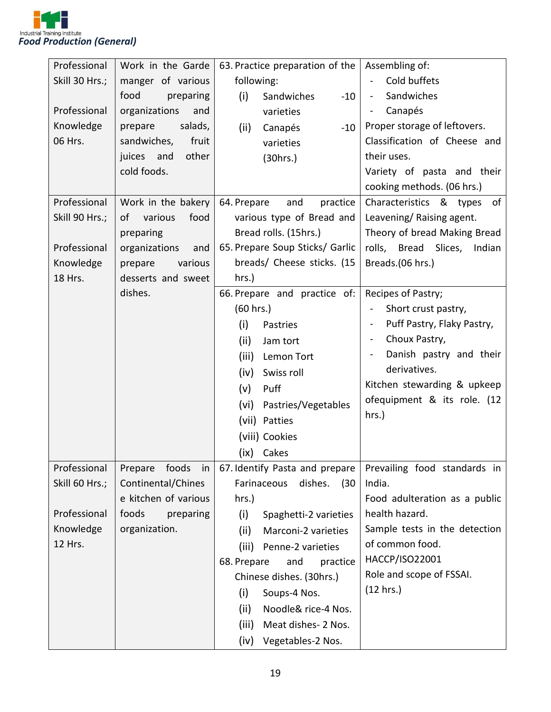

| Professional   | Work in the Garde      | 63. Practice preparation of the                     | Assembling of:                               |
|----------------|------------------------|-----------------------------------------------------|----------------------------------------------|
| Skill 30 Hrs.; | manger of various      | following:                                          | Cold buffets                                 |
|                | food<br>preparing      | (i)<br>Sandwiches<br>$-10$                          | Sandwiches<br>$\blacksquare$                 |
| Professional   | organizations<br>and   | varieties                                           | Canapés<br>$\overline{\phantom{a}}$          |
| Knowledge      | salads,<br>prepare     | (ii)<br>Canapés<br>$-10$                            | Proper storage of leftovers.                 |
| 06 Hrs.        | sandwiches,<br>fruit   | varieties                                           | Classification of Cheese and                 |
|                | other<br>juices and    | (30 hrs.)                                           | their uses.                                  |
|                | cold foods.            |                                                     | Variety of pasta and their                   |
|                |                        |                                                     | cooking methods. (06 hrs.)                   |
| Professional   | Work in the bakery     | 64. Prepare<br>and<br>practice                      | Characteristics & types<br>of                |
| Skill 90 Hrs.; | various<br>food<br>of  | various type of Bread and                           | Leavening/Raising agent.                     |
|                | preparing              | Bread rolls. (15hrs.)                               | Theory of bread Making Bread                 |
| Professional   | organizations<br>and   | 65. Prepare Soup Sticks/ Garlic                     | rolls, Bread Slices, Indian                  |
| Knowledge      | various<br>prepare     | breads/ Cheese sticks. (15                          | Breads.(06 hrs.)                             |
| 18 Hrs.        | desserts and sweet     | hrs.)                                               |                                              |
|                | dishes.                | 66. Prepare and practice of:                        | Recipes of Pastry;                           |
|                |                        | (60 hrs.)                                           | Short crust pastry,                          |
|                |                        | (i)<br>Pastries                                     | Puff Pastry, Flaky Pastry,<br>$\blacksquare$ |
|                |                        | (ii)<br>Jam tort                                    | Choux Pastry,<br>$\blacksquare$              |
|                |                        | (iii)<br>Lemon Tort                                 | Danish pastry and their<br>$\blacksquare$    |
|                |                        | (iv)<br>Swiss roll                                  | derivatives.                                 |
|                |                        | (v)<br>Puff                                         | Kitchen stewarding & upkeep                  |
|                |                        | (vi)<br>Pastries/Vegetables                         | ofequipment & its role. (12                  |
|                |                        | (vii) Patties                                       | hrs.)                                        |
|                |                        | (viii) Cookies                                      |                                              |
|                |                        | (ix) Cakes                                          |                                              |
| Professional   | foods<br>Prepare<br>in | 67. Identify Pasta and prepare                      | Prevailing food standards in                 |
| Skill 60 Hrs.; | Continental/Chines     | Farinaceous<br>dishes.<br>(30)                      | India.                                       |
|                | e kitchen of various   | hrs.)                                               | Food adulteration as a public                |
| Professional   | foods<br>preparing     | (i)<br>Spaghetti-2 varieties                        | health hazard.                               |
| Knowledge      | organization.          | (ii)<br>Marconi-2 varieties                         | Sample tests in the detection                |
| 12 Hrs.        |                        | (iii)                                               | of common food.                              |
|                |                        | Penne-2 varieties<br>68. Prepare<br>and<br>practice | HACCP/ISO22001                               |
|                |                        | Chinese dishes. (30hrs.)                            | Role and scope of FSSAI.                     |
|                |                        | (i)<br>Soups-4 Nos.                                 | (12 hrs.)                                    |
|                |                        | (ii)<br>Noodle& rice-4 Nos.                         |                                              |
|                |                        |                                                     |                                              |
|                |                        | (iii)<br>Meat dishes- 2 Nos.                        |                                              |
|                |                        | (iv)<br>Vegetables-2 Nos.                           |                                              |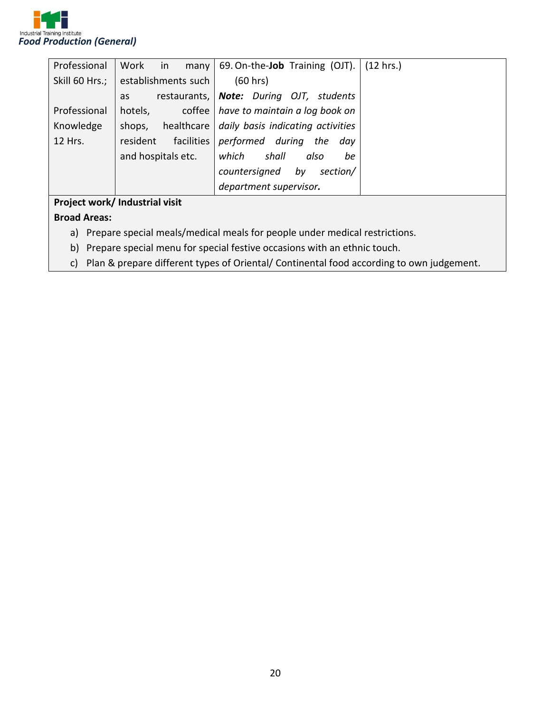

| Professional   | Work<br>in<br>many  | 69. On-the- <b>Job</b> Training (OJT).         | $(12 \text{ hrs.})$ |
|----------------|---------------------|------------------------------------------------|---------------------|
|                |                     |                                                |                     |
| Skill 60 Hrs.; | establishments such | (60 hrs)                                       |                     |
|                | as                  | restaurants,   Note: During OJT, students      |                     |
| Professional   | hotels,             | coffee   have to maintain a log book on        |                     |
| Knowledge      | shops,              | healthcare   daily basis indicating activities |                     |
| 12 Hrs.        | resident            | facilities performed during<br>the<br>dav      |                     |
|                | and hospitals etc.  | which<br>shall<br>also<br>be                   |                     |
|                |                     | countersigned<br>section/<br>by                |                     |
|                |                     | department supervisor.                         |                     |
|                | .                   |                                                |                     |

#### **Project work/ Industrial visit**

#### **Broad Areas:**

- a) Prepare special meals/medical meals for people under medical restrictions.
- b) Prepare special menu for special festive occasions with an ethnic touch.
- c) Plan & prepare different types of Oriental/ Continental food according to own judgement.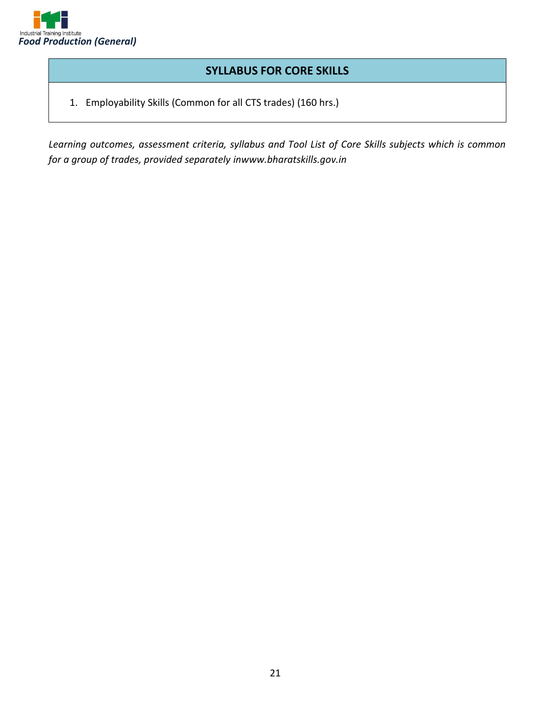

#### **SYLLABUS FOR CORE SKILLS**

1. Employability Skills (Common for all CTS trades) (160 hrs.)

*Learning outcomes, assessment criteria, syllabus and Tool List of Core Skills subjects which is common for a group of trades, provided separately inwww.bharatskills.gov.in*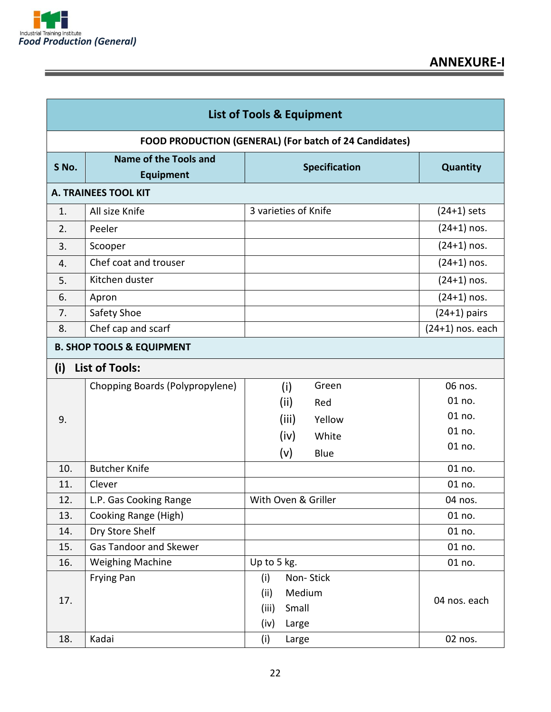

<u> 1989 - Johann Stein, markin sanadi sa maso na matsayin sa maso na matsayin sa maso na matsayin sa maso na m</u>

Ξ

|                                      | <b>List of Tools &amp; Equipment</b>             |                                                                       |                    |  |
|--------------------------------------|--------------------------------------------------|-----------------------------------------------------------------------|--------------------|--|
|                                      |                                                  | FOOD PRODUCTION (GENERAL) (For batch of 24 Candidates)                |                    |  |
| S No.                                | <b>Name of the Tools and</b><br><b>Equipment</b> | <b>Specification</b>                                                  | Quantity           |  |
|                                      | <b>A. TRAINEES TOOL KIT</b>                      |                                                                       |                    |  |
| 1.                                   | All size Knife                                   | 3 varieties of Knife                                                  | $(24+1)$ sets      |  |
| 2.                                   | Peeler                                           |                                                                       | $(24+1)$ nos.      |  |
| 3.                                   | Scooper                                          |                                                                       | $(24+1)$ nos.      |  |
| 4.                                   | Chef coat and trouser                            |                                                                       | $(24+1)$ nos.      |  |
| 5.                                   | Kitchen duster                                   |                                                                       | $(24+1)$ nos.      |  |
| 6.                                   | Apron                                            |                                                                       | $(24+1)$ nos.      |  |
| 7.                                   | Safety Shoe                                      |                                                                       | $(24+1)$ pairs     |  |
| 8.                                   | Chef cap and scarf                               |                                                                       | $(24+1)$ nos. each |  |
| <b>B. SHOP TOOLS &amp; EQUIPMENT</b> |                                                  |                                                                       |                    |  |
| (i)                                  | <b>List of Tools:</b>                            |                                                                       |                    |  |
|                                      | Chopping Boards (Polypropylene)                  | Green<br>(i)                                                          | 06 nos.            |  |
|                                      |                                                  | (ii)<br>Red                                                           | 01 no.             |  |
| 9.                                   |                                                  | (iii)<br>Yellow                                                       | 01 no.             |  |
|                                      |                                                  | (iv)<br>White                                                         | 01 no.             |  |
|                                      |                                                  | (v)<br>Blue                                                           | 01 no.             |  |
| 10.                                  | <b>Butcher Knife</b>                             |                                                                       | 01 no.             |  |
| 11.                                  | Clever                                           |                                                                       | 01 no.             |  |
| 12.                                  | L.P. Gas Cooking Range                           | With Oven & Griller                                                   | 04 nos.            |  |
| 13.                                  | Cooking Range (High)                             |                                                                       | 01 no.             |  |
| 14.                                  | Dry Store Shelf                                  |                                                                       | 01 no.             |  |
| 15.                                  | <b>Gas Tandoor and Skewer</b>                    |                                                                       | 01 no.             |  |
| 16.                                  | <b>Weighing Machine</b>                          | Up to 5 kg.                                                           | 01 no.             |  |
| 17.                                  | Frying Pan                                       | Non-Stick<br>(i)<br>(ii)<br>Medium<br>(iii)<br>Small<br>(iv)<br>Large | 04 nos. each       |  |
| 18.                                  | Kadai                                            | (i)<br>Large                                                          | 02 nos.            |  |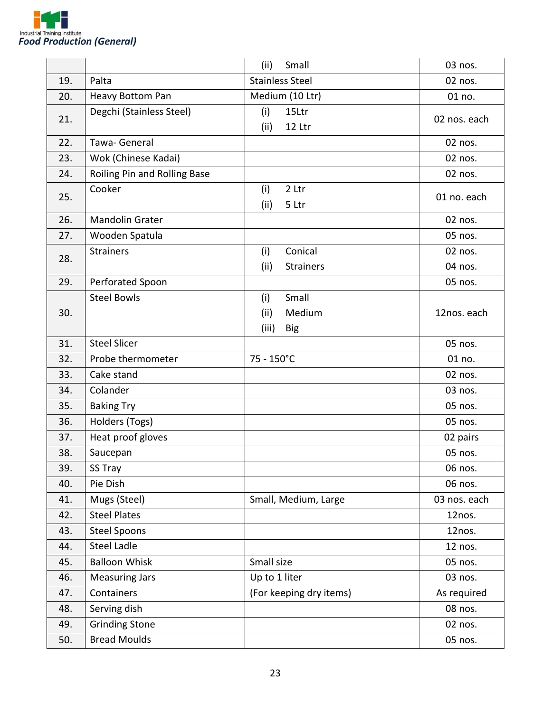

|     |                              | Small<br>(ii)                                         | 03 nos.      |
|-----|------------------------------|-------------------------------------------------------|--------------|
| 19. | Palta                        | <b>Stainless Steel</b>                                | 02 nos.      |
| 20. | <b>Heavy Bottom Pan</b>      | Medium (10 Ltr)                                       | 01 no.       |
| 21. | Degchi (Stainless Steel)     | (i)<br>15Ltr<br>(ii)<br>12 Ltr                        | 02 nos. each |
| 22. | Tawa- General                |                                                       | 02 nos.      |
| 23. | Wok (Chinese Kadai)          |                                                       | 02 nos.      |
| 24. | Roiling Pin and Rolling Base |                                                       | 02 nos.      |
| 25. | Cooker                       | (i)<br>2 Ltr<br>(ii)<br>5 Ltr                         | 01 no. each  |
| 26. | <b>Mandolin Grater</b>       |                                                       | 02 nos.      |
| 27. | Wooden Spatula               |                                                       | 05 nos.      |
| 28. | <b>Strainers</b>             | Conical<br>(i)                                        | 02 nos.      |
|     |                              | (ii)<br><b>Strainers</b>                              | 04 nos.      |
| 29. | Perforated Spoon             |                                                       | 05 nos.      |
| 30. | <b>Steel Bowls</b>           | Small<br>(i)<br>(ii)<br>Medium<br>(iii)<br><b>Big</b> | 12nos. each  |
| 31. | <b>Steel Slicer</b>          |                                                       | 05 nos.      |
| 32. | Probe thermometer            | 75 - 150°C                                            | 01 no.       |
| 33. | Cake stand                   |                                                       | 02 nos.      |
| 34. | Colander                     |                                                       | 03 nos.      |
| 35. | <b>Baking Try</b>            |                                                       | 05 nos.      |
| 36. | Holders (Togs)               |                                                       | 05 nos.      |
| 37. | Heat proof gloves            |                                                       | 02 pairs     |
| 38. | Saucepan                     |                                                       | 05 nos.      |
| 39. | SS Tray                      |                                                       | 06 nos.      |
| 40. | Pie Dish                     |                                                       | 06 nos.      |
| 41. | Mugs (Steel)                 | Small, Medium, Large                                  | 03 nos. each |
| 42. | <b>Steel Plates</b>          |                                                       | 12nos.       |
| 43. | <b>Steel Spoons</b>          |                                                       | 12nos.       |
| 44. | <b>Steel Ladle</b>           |                                                       | 12 nos.      |
| 45. | <b>Balloon Whisk</b>         | Small size                                            | 05 nos.      |
| 46. | <b>Measuring Jars</b>        | Up to 1 liter                                         | 03 nos.      |
| 47. | Containers                   | (For keeping dry items)                               | As required  |
| 48. | Serving dish                 |                                                       | 08 nos.      |
| 49. | <b>Grinding Stone</b>        |                                                       | 02 nos.      |
| 50. | <b>Bread Moulds</b>          |                                                       | 05 nos.      |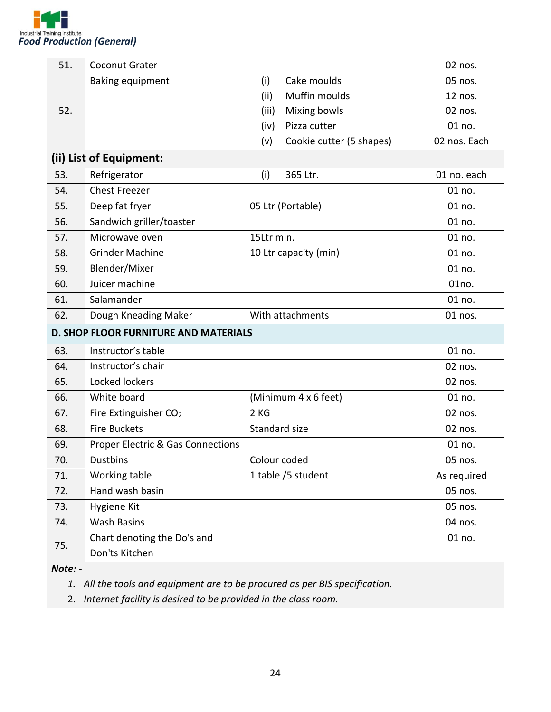

| 51.             | Coconut Grater                               |                                 | 02 nos.      |
|-----------------|----------------------------------------------|---------------------------------|--------------|
|                 | <b>Baking equipment</b>                      | Cake moulds<br>(i)              | 05 nos.      |
|                 |                                              | Muffin moulds<br>(ii)           | 12 nos.      |
| 52.             |                                              | Mixing bowls<br>(iii)           | 02 nos.      |
|                 |                                              | Pizza cutter<br>(iv)            | 01 no.       |
|                 |                                              | Cookie cutter (5 shapes)<br>(v) | 02 nos. Each |
|                 | (ii) List of Equipment:                      |                                 |              |
| 53.             | Refrigerator                                 | 365 Ltr.<br>(i)                 | 01 no. each  |
| 54.             | <b>Chest Freezer</b>                         |                                 | 01 no.       |
| 55.             | Deep fat fryer                               | 05 Ltr (Portable)               | 01 no.       |
| 56.             | Sandwich griller/toaster                     |                                 | 01 no.       |
| 57.             | Microwave oven                               | 15Ltr min.                      | 01 no.       |
| 58.             | <b>Grinder Machine</b>                       | 10 Ltr capacity (min)           | 01 no.       |
| 59.             | Blender/Mixer                                |                                 | 01 no.       |
| 60.             | Juicer machine                               |                                 | 01no.        |
| 61.             | Salamander                                   |                                 | 01 no.       |
| 62.             | Dough Kneading Maker                         | With attachments                | 01 nos.      |
|                 | <b>D. SHOP FLOOR FURNITURE AND MATERIALS</b> |                                 |              |
| 63.             | Instructor's table                           |                                 | 01 no.       |
| 64.             | Instructor's chair                           |                                 | 02 nos.      |
| 65.             | Locked lockers                               |                                 | 02 nos.      |
| 66.             | White board                                  | (Minimum 4 x 6 feet)            | 01 no.       |
| 67.             | Fire Extinguisher CO <sub>2</sub>            | 2 KG                            | 02 nos.      |
| 68.             | <b>Fire Buckets</b>                          | Standard size                   | 02 nos.      |
| 69.             | <b>Proper Electric &amp; Gas Connections</b> |                                 | 01 no.       |
| 70.             | Dustbins                                     | Colour coded                    | 05 nos.      |
| 71.             | Working table                                | 1 table /5 student              | As required  |
| 72.             | Hand wash basin                              |                                 | 05 nos.      |
| 73.             | Hygiene Kit                                  |                                 | 05 nos.      |
| 74.             | <b>Wash Basins</b>                           |                                 | 04 nos.      |
|                 | Chart denoting the Do's and                  |                                 | 01 no.       |
| 75.             | Don'ts Kitchen                               |                                 |              |
| $N \cdot \cdot$ |                                              |                                 |              |

*Note: -*

*1. All the tools and equipment are to be procured as per BIS specification.* 

2. *Internet facility is desired to be provided in the class room.*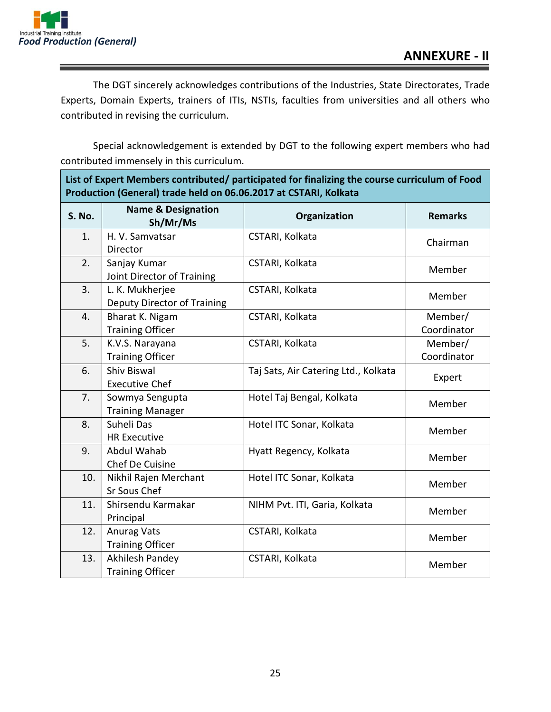

8. Suheli Das

9. Abdul Wahab

12. Anurag Vats

HR Executive

Chef De Cuisine

10. Nikhil Rajen Merchant Sr Sous Chef

11. Shirsendu Karmakar Principal

Training Officer

13. | Akhilesh Pandey Training Officer

The DGT sincerely acknowledges contributions of the Industries, State Directorates, Trade Experts, Domain Experts, trainers of ITIs, NSTIs, faculties from universities and all others who contributed in revising the curriculum.

Special acknowledgement is extended by DGT to the following expert members who had contributed immensely in this curriculum.

| List of expert members contributed/ participated for imalizing the course curriculum of Food<br>Production (General) trade held on 06.06.2017 at CSTARI, Kolkata |                                                |                                      |                        |
|------------------------------------------------------------------------------------------------------------------------------------------------------------------|------------------------------------------------|--------------------------------------|------------------------|
| <b>S. No.</b>                                                                                                                                                    | <b>Name &amp; Designation</b><br>Sh/Mr/Ms      | Organization                         | <b>Remarks</b>         |
| 1.                                                                                                                                                               | H. V. Samvatsar<br>Director                    | CSTARI, Kolkata                      | Chairman               |
| 2.                                                                                                                                                               | Sanjay Kumar<br>Joint Director of Training     | CSTARI, Kolkata                      | Member                 |
| 3.                                                                                                                                                               | L. K. Mukherjee<br>Deputy Director of Training | CSTARI, Kolkata                      | Member                 |
| 4.                                                                                                                                                               | Bharat K. Nigam<br><b>Training Officer</b>     | CSTARI, Kolkata                      | Member/<br>Coordinator |
| 5.                                                                                                                                                               | K.V.S. Narayana<br><b>Training Officer</b>     | CSTARI, Kolkata                      | Member/<br>Coordinator |
| 6.                                                                                                                                                               | <b>Shiv Biswal</b><br><b>Executive Chef</b>    | Taj Sats, Air Catering Ltd., Kolkata | Expert                 |
| 7.                                                                                                                                                               | Sowmya Sengupta<br><b>Training Manager</b>     | Hotel Taj Bengal, Kolkata            | Member                 |

Hotel ITC Sonar, Kolkata Member

Hyatt Regency, Kolkata Member

Hotel ITC Sonar, Kolkata Member

NIHM Pvt. ITI, Garia, Kolkata Member

CSTARI, Kolkata Member

CSTARI, Kolkata Member

**List of Expert Members contributed/ participated for finalizing the course curriculum of Food**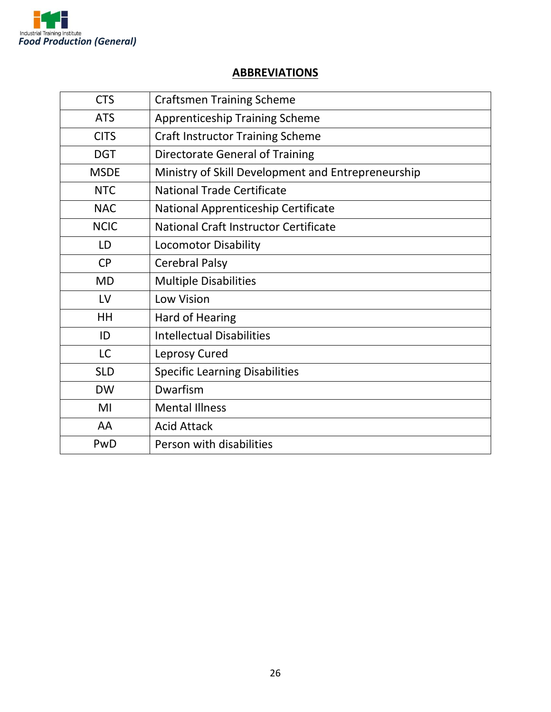

#### **ABBREVIATIONS**

| <b>CTS</b>  | <b>Craftsmen Training Scheme</b>                   |
|-------------|----------------------------------------------------|
| <b>ATS</b>  | <b>Apprenticeship Training Scheme</b>              |
| <b>CITS</b> | <b>Craft Instructor Training Scheme</b>            |
| <b>DGT</b>  | Directorate General of Training                    |
| <b>MSDE</b> | Ministry of Skill Development and Entrepreneurship |
| <b>NTC</b>  | <b>National Trade Certificate</b>                  |
| <b>NAC</b>  | National Apprenticeship Certificate                |
| <b>NCIC</b> | National Craft Instructor Certificate              |
| LD          | <b>Locomotor Disability</b>                        |
| <b>CP</b>   | <b>Cerebral Palsy</b>                              |
| <b>MD</b>   | <b>Multiple Disabilities</b>                       |
| LV          | Low Vision                                         |
| HH          | Hard of Hearing                                    |
| ID          | <b>Intellectual Disabilities</b>                   |
| <b>LC</b>   | Leprosy Cured                                      |
| <b>SLD</b>  | <b>Specific Learning Disabilities</b>              |
| <b>DW</b>   | Dwarfism                                           |
| MI          | <b>Mental Illness</b>                              |
| AA          | <b>Acid Attack</b>                                 |
| PwD         | Person with disabilities                           |